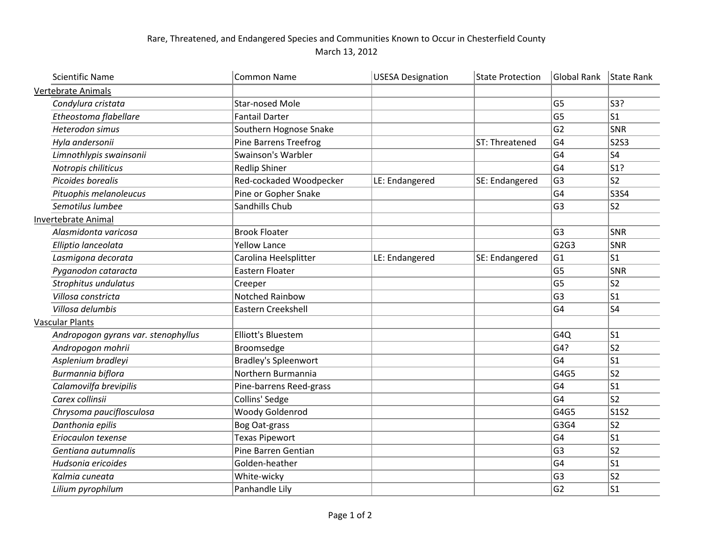## Rare, Threatened, and Endangered Species and Communities Known to Occur in Chesterfield County March 13, 2012

| <b>Scientific Name</b>              | <b>Common Name</b>           | <b>USESA Designation</b> | <b>State Protection</b> | Global Rank    | State Rank     |
|-------------------------------------|------------------------------|--------------------------|-------------------------|----------------|----------------|
| <b>Vertebrate Animals</b>           |                              |                          |                         |                |                |
| Condylura cristata                  | <b>Star-nosed Mole</b>       |                          |                         | G <sub>5</sub> | S3?            |
| Etheostoma flabellare               | <b>Fantail Darter</b>        |                          |                         | G <sub>5</sub> | S <sub>1</sub> |
| Heterodon simus                     | Southern Hognose Snake       |                          |                         | G <sub>2</sub> | SNR            |
| Hyla andersonii                     | <b>Pine Barrens Treefrog</b> |                          | ST: Threatened          | G4             | <b>S2S3</b>    |
| Limnothlypis swainsonii             | Swainson's Warbler           |                          |                         | G <sub>4</sub> | S <sub>4</sub> |
| Notropis chiliticus                 | <b>Redlip Shiner</b>         |                          |                         | G4             | S1?            |
| Picoides borealis                   | Red-cockaded Woodpecker      | LE: Endangered           | SE: Endangered          | G <sub>3</sub> | S <sub>2</sub> |
| Pituophis melanoleucus              | Pine or Gopher Snake         |                          |                         | G <sub>4</sub> | S3S4           |
| Semotilus lumbee                    | Sandhills Chub               |                          |                         | G <sub>3</sub> | S <sub>2</sub> |
| <b>Invertebrate Animal</b>          |                              |                          |                         |                |                |
| Alasmidonta varicosa                | <b>Brook Floater</b>         |                          |                         | G <sub>3</sub> | SNR            |
| Elliptio lanceolata                 | <b>Yellow Lance</b>          |                          |                         | G2G3           | SNR            |
| Lasmigona decorata                  | Carolina Heelsplitter        | LE: Endangered           | SE: Endangered          | G <sub>1</sub> | S <sub>1</sub> |
| Pyganodon cataracta                 | Eastern Floater              |                          |                         | G <sub>5</sub> | SNR            |
| Strophitus undulatus                | Creeper                      |                          |                         | G <sub>5</sub> | S <sub>2</sub> |
| Villosa constricta                  | Notched Rainbow              |                          |                         | G <sub>3</sub> | S <sub>1</sub> |
| Villosa delumbis                    | Eastern Creekshell           |                          |                         | G4             | S <sub>4</sub> |
| <b>Vascular Plants</b>              |                              |                          |                         |                |                |
| Andropogon gyrans var. stenophyllus | <b>Elliott's Bluestem</b>    |                          |                         | G4Q            | S <sub>1</sub> |
| Andropogon mohrii                   | Broomsedge                   |                          |                         | G4?            | S <sub>2</sub> |
| Asplenium bradleyi                  | <b>Bradley's Spleenwort</b>  |                          |                         | G4             | S <sub>1</sub> |
| Burmannia biflora                   | Northern Burmannia           |                          |                         | G4G5           | S <sub>2</sub> |
| Calamovilfa brevipilis              | Pine-barrens Reed-grass      |                          |                         | G <sub>4</sub> | S <sub>1</sub> |
| Carex collinsii                     | Collins' Sedge               |                          |                         | G <sub>4</sub> | S <sub>2</sub> |
| Chrysoma pauciflosculosa            | Woody Goldenrod              |                          |                         | G4G5           | <b>S1S2</b>    |
| Danthonia epilis                    | Bog Oat-grass                |                          |                         | G3G4           | S <sub>2</sub> |
| Eriocaulon texense                  | <b>Texas Pipewort</b>        |                          |                         | G <sub>4</sub> | S <sub>1</sub> |
| Gentiana autumnalis                 | Pine Barren Gentian          |                          |                         | G <sub>3</sub> | S <sub>2</sub> |
| Hudsonia ericoides                  | Golden-heather               |                          |                         | G <sub>4</sub> | S <sub>1</sub> |
| Kalmia cuneata                      | White-wicky                  |                          |                         | G <sub>3</sub> | S <sub>2</sub> |
| Lilium pyrophilum                   | Panhandle Lily               |                          |                         | G <sub>2</sub> | S1             |